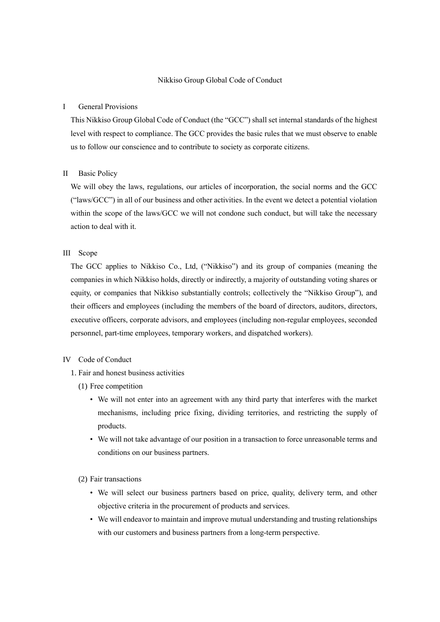#### Nikkiso Group Global Code of Conduct

### I General Provisions

This Nikkiso Group Global Code of Conduct (the "GCC") shall set internal standards of the highest level with respect to compliance. The GCC provides the basic rules that we must observe to enable us to follow our conscience and to contribute to society as corporate citizens.

#### II Basic Policy

We will obey the laws, regulations, our articles of incorporation, the social norms and the GCC ("laws/GCC") in all of our business and other activities. In the event we detect a potential violation within the scope of the laws/GCC we will not condone such conduct, but will take the necessary action to deal with it.

# III Scope

The GCC applies to Nikkiso Co., Ltd, ("Nikkiso") and its group of companies (meaning the companies in which Nikkiso holds, directly or indirectly, a majority of outstanding voting shares or equity, or companies that Nikkiso substantially controls; collectively the "Nikkiso Group"), and their officers and employees (including the members of the board of directors, auditors, directors, executive officers, corporate advisors, and employees (including non-regular employees, seconded personnel, part-time employees, temporary workers, and dispatched workers).

## IV Code of Conduct

- 1. Fair and honest business activities
	- (1) Free competition
		- We will not enter into an agreement with any third party that interferes with the market mechanisms, including price fixing, dividing territories, and restricting the supply of products.
		- We will not take advantage of our position in a transaction to force unreasonable terms and conditions on our business partners.
	- (2) Fair transactions
		- We will select our business partners based on price, quality, delivery term, and other objective criteria in the procurement of products and services.
		- We will endeavor to maintain and improve mutual understanding and trusting relationships with our customers and business partners from a long-term perspective.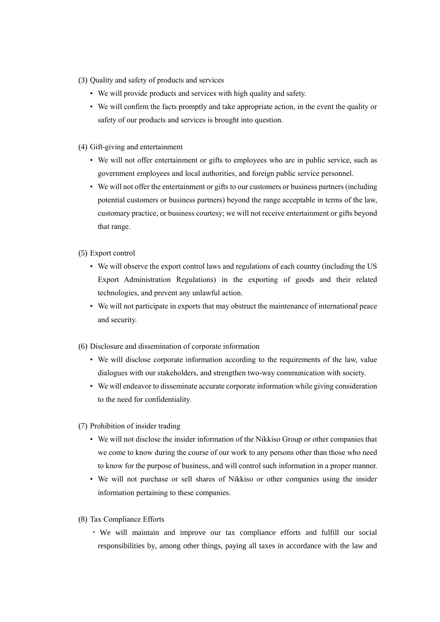- (3) Quality and safety of products and services
	- We will provide products and services with high quality and safety.
	- We will confirm the facts promptly and take appropriate action, in the event the quality or safety of our products and services is brought into question.
- (4) Gift-giving and entertainment
	- We will not offer entertainment or gifts to employees who are in public service, such as government employees and local authorities, and foreign public service personnel.
	- We will not offer the entertainment or gifts to our customers or business partners (including potential customers or business partners) beyond the range acceptable in terms of the law, customary practice, or business courtesy; we will not receive entertainment or gifts beyond that range.
- (5) Export control
	- We will observe the export control laws and regulations of each country (including the US Export Administration Regulations) in the exporting of goods and their related technologies, and prevent any unlawful action.
	- We will not participate in exports that may obstruct the maintenance of international peace and security.
- (6) Disclosure and dissemination of corporate information
	- We will disclose corporate information according to the requirements of the law, value dialogues with our stakeholders, and strengthen two-way communication with society.
	- We will endeavor to disseminate accurate corporate information while giving consideration to the need for confidentiality.
- (7) Prohibition of insider trading
	- We will not disclose the insider information of the Nikkiso Group or other companies that we come to know during the course of our work to any persons other than those who need to know for the purpose of business, and will control such information in a proper manner.
	- We will not purchase or sell shares of Nikkiso or other companies using the insider information pertaining to these companies.
- (8) Tax Compliance Efforts
	- ・ We will maintain and improve our tax compliance efforts and fulfill our social responsibilities by, among other things, paying all taxes in accordance with the law and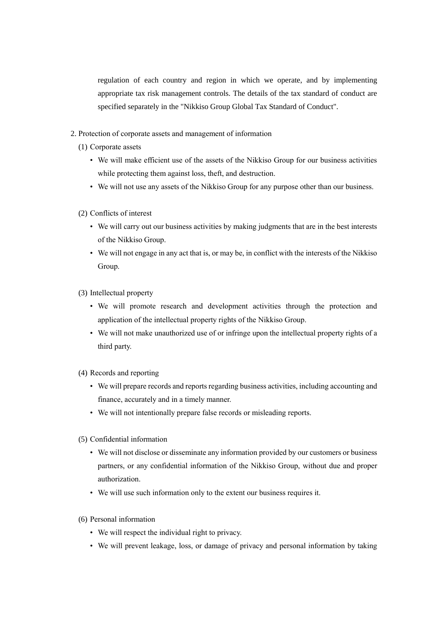regulation of each country and region in which we operate, and by implementing appropriate tax risk management controls. The details of the tax standard of conduct are specified separately in the "Nikkiso Group Global Tax Standard of Conduct".

- 2. Protection of corporate assets and management of information
	- (1) Corporate assets
		- We will make efficient use of the assets of the Nikkiso Group for our business activities while protecting them against loss, theft, and destruction.
		- We will not use any assets of the Nikkiso Group for any purpose other than our business.
	- (2) Conflicts of interest
		- We will carry out our business activities by making judgments that are in the best interests of the Nikkiso Group.
		- We will not engage in any act that is, or may be, in conflict with the interests of the Nikkiso Group.
	- (3) Intellectual property
		- We will promote research and development activities through the protection and application of the intellectual property rights of the Nikkiso Group.
		- We will not make unauthorized use of or infringe upon the intellectual property rights of a third party.
	- (4) Records and reporting
		- We will prepare records and reports regarding business activities, including accounting and finance, accurately and in a timely manner.
		- We will not intentionally prepare false records or misleading reports.
	- (5) Confidential information
		- We will not disclose or disseminate any information provided by our customers or business partners, or any confidential information of the Nikkiso Group, without due and proper authorization.
		- We will use such information only to the extent our business requires it.
	- (6) Personal information
		- We will respect the individual right to privacy.
		- We will prevent leakage, loss, or damage of privacy and personal information by taking